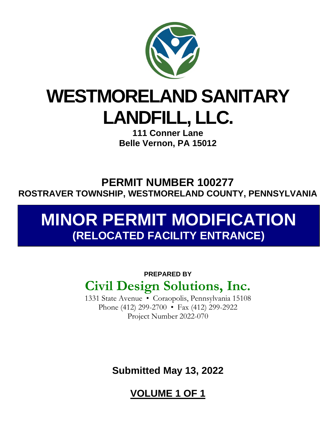

## **WESTMORELAND SANITARY LANDFILL, LLC.**

**111 Conner Lane Belle Vernon, PA 15012** 

**PERMIT NUMBER 100277 ROSTRAVER TOWNSHIP, WESTMORELAND COUNTY, PENNSYLVANIA**

## **MINOR PERMIT MODIFICATION (RELOCATED FACILITY ENTRANCE)**

## **PREPARED BY Civil Design Solutions, Inc.**

1331 State Avenue • Coraopolis, Pennsylvania 15108 Phone (412) 299-2700 • Fax (412) 299-2922 Project Number 2022-070

**Submitted May 13, 2022** 

**VOLUME 1 OF 1**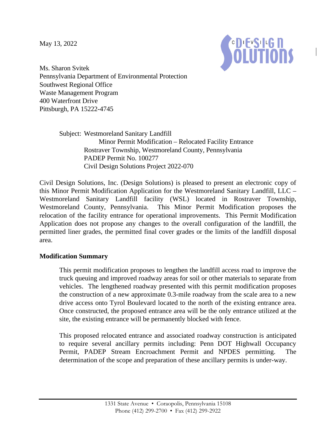May 13, 2022



Ms. Sharon Svitek Pennsylvania Department of Environmental Protection Southwest Regional Office Waste Management Program 400 Waterfront Drive Pittsburgh, PA 15222-4745

> Subject: Westmoreland Sanitary Landfill Minor Permit Modification – Relocated Facility Entrance Rostraver Township, Westmoreland County, Pennsylvania PADEP Permit No. 100277 Civil Design Solutions Project 2022-070

Civil Design Solutions, Inc. (Design Solutions) is pleased to present an electronic copy of this Minor Permit Modification Application for the Westmoreland Sanitary Landfill, LLC – Westmoreland Sanitary Landfill facility (WSL) located in Rostraver Township, Westmoreland County, Pennsylvania. This Minor Permit Modification proposes the relocation of the facility entrance for operational improvements. This Permit Modification Application does not propose any changes to the overall configuration of the landfill, the permitted liner grades, the permitted final cover grades or the limits of the landfill disposal area.

## **Modification Summary**

This permit modification proposes to lengthen the landfill access road to improve the truck queuing and improved roadway areas for soil or other materials to separate from vehicles. The lengthened roadway presented with this permit modification proposes the construction of a new approximate 0.3-mile roadway from the scale area to a new drive access onto Tyrol Boulevard located to the north of the existing entrance area. Once constructed, the proposed entrance area will be the only entrance utilized at the site, the existing entrance will be permanently blocked with fence.

This proposed relocated entrance and associated roadway construction is anticipated to require several ancillary permits including: Penn DOT Highwall Occupancy Permit, PADEP Stream Encroachment Permit and NPDES permitting. The determination of the scope and preparation of these ancillary permits is under-way.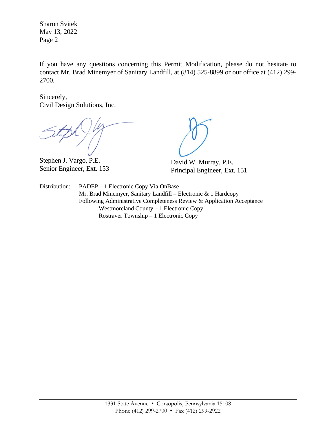Sharon Svitek May 13, 2022 Page 2

If you have any questions concerning this Permit Modification, please do not hesitate to contact Mr. Brad Minemyer of Sanitary Landfill, at (814) 525-8899 or our office at (412) 299- 2700.

Sincerely, Civil Design Solutions, Inc.

Stephen J. Vargo, P.E. Senior Engineer, Ext. 153

David W. Murray, P.E. Principal Engineer, Ext. 151

Distribution: PADEP – 1 Electronic Copy Via OnBase Mr. Brad Minemyer, Sanitary Landfill – Electronic & 1 Hardcopy Following Administrative Completeness Review & Application Acceptance Westmoreland County – 1 Electronic Copy Rostraver Township – 1 Electronic Copy